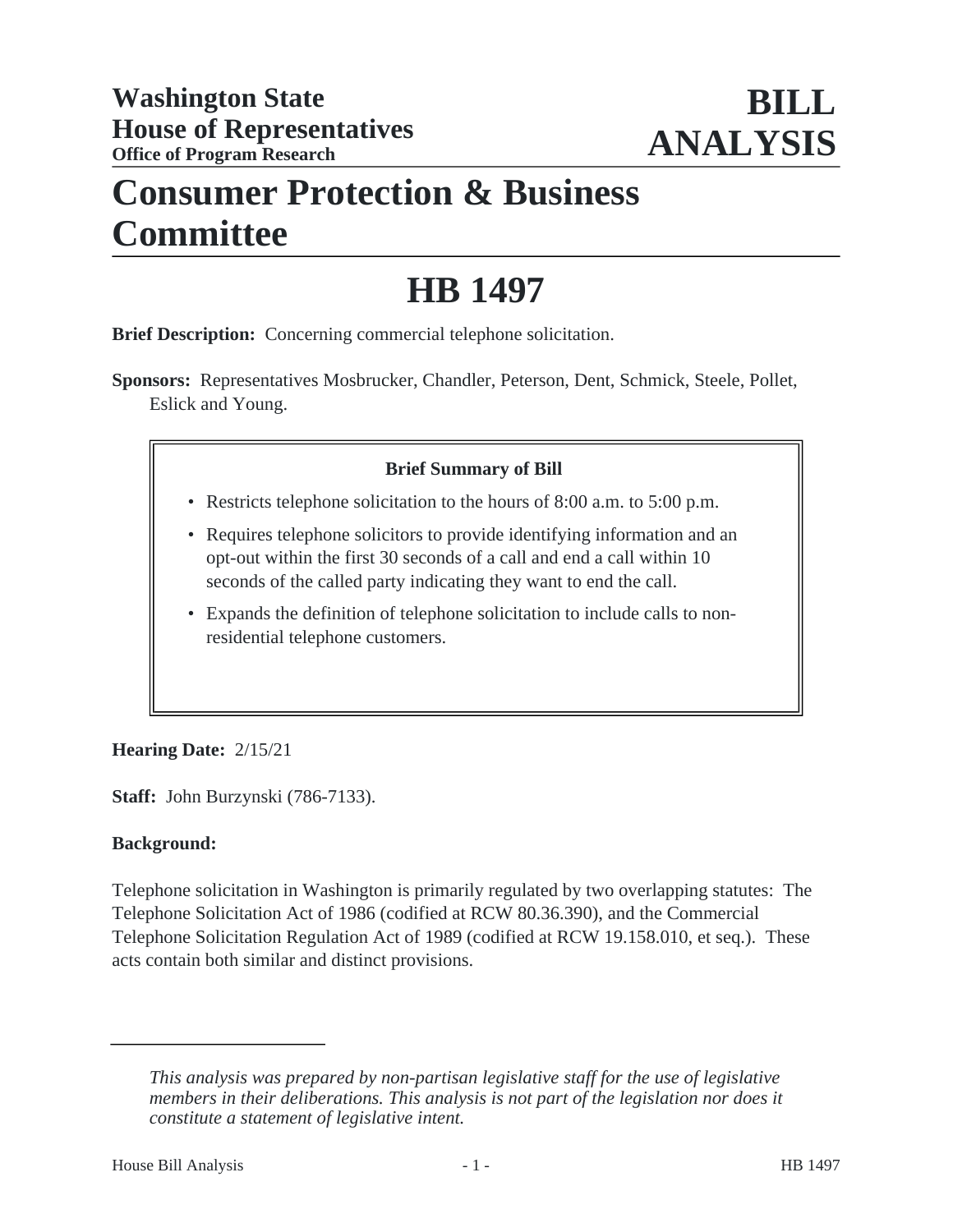## **Consumer Protection & Business Committee**

# **HB 1497**

**Brief Description:** Concerning commercial telephone solicitation.

**Sponsors:** Representatives Mosbrucker, Chandler, Peterson, Dent, Schmick, Steele, Pollet, Eslick and Young.

## **Brief Summary of Bill**

- Restricts telephone solicitation to the hours of 8:00 a.m. to 5:00 p.m.
- Requires telephone solicitors to provide identifying information and an opt-out within the first 30 seconds of a call and end a call within 10 seconds of the called party indicating they want to end the call.
- Expands the definition of telephone solicitation to include calls to non-• residential telephone customers.

## **Hearing Date:** 2/15/21

**Staff:** John Burzynski (786-7133).

#### **Background:**

Telephone solicitation in Washington is primarily regulated by two overlapping statutes: The Telephone Solicitation Act of 1986 (codified at RCW 80.36.390), and the Commercial Telephone Solicitation Regulation Act of 1989 (codified at RCW 19.158.010, et seq.). These acts contain both similar and distinct provisions.

*This analysis was prepared by non-partisan legislative staff for the use of legislative members in their deliberations. This analysis is not part of the legislation nor does it constitute a statement of legislative intent.*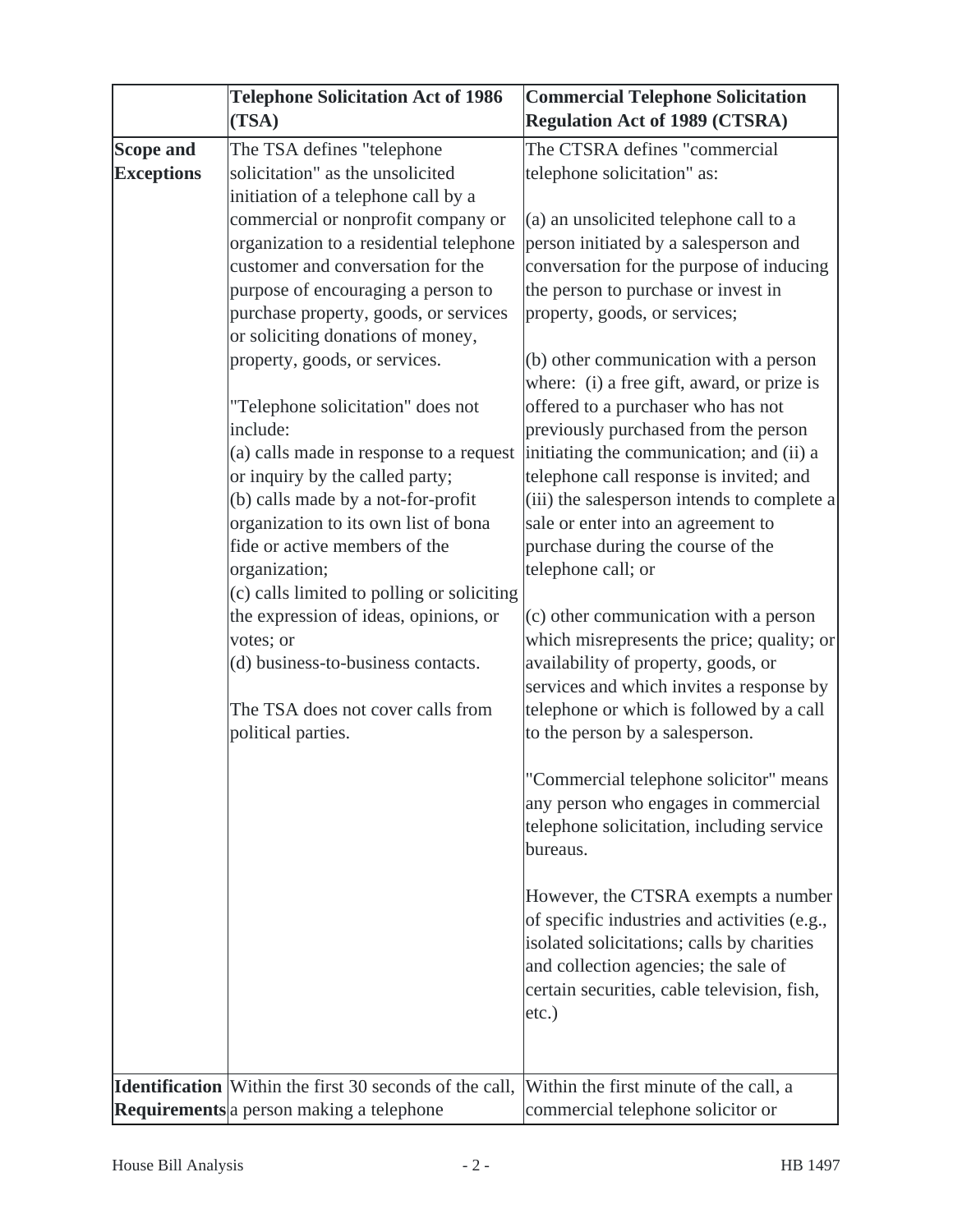|                                       | <b>Telephone Solicitation Act of 1986</b><br>(TSA)                                                                                                                                                                                                                                                                                                                                  | <b>Commercial Telephone Solicitation</b><br><b>Regulation Act of 1989 (CTSRA)</b>                                                                                                                                                                                                                                                                                                                                                                 |
|---------------------------------------|-------------------------------------------------------------------------------------------------------------------------------------------------------------------------------------------------------------------------------------------------------------------------------------------------------------------------------------------------------------------------------------|---------------------------------------------------------------------------------------------------------------------------------------------------------------------------------------------------------------------------------------------------------------------------------------------------------------------------------------------------------------------------------------------------------------------------------------------------|
| <b>Scope and</b><br><b>Exceptions</b> | The TSA defines "telephone<br>solicitation" as the unsolicited                                                                                                                                                                                                                                                                                                                      | The CTSRA defines "commercial<br>telephone solicitation" as:                                                                                                                                                                                                                                                                                                                                                                                      |
|                                       | initiation of a telephone call by a<br>commercial or nonprofit company or<br>organization to a residential telephone<br>customer and conversation for the<br>purpose of encouraging a person to<br>purchase property, goods, or services<br>or soliciting donations of money,                                                                                                       | (a) an unsolicited telephone call to a<br>person initiated by a salesperson and<br>conversation for the purpose of inducing<br>the person to purchase or invest in<br>property, goods, or services;                                                                                                                                                                                                                                               |
|                                       | property, goods, or services.<br>"Telephone solicitation" does not<br>include:<br>(a) calls made in response to a request<br>or inquiry by the called party;<br>(b) calls made by a not-for-profit<br>organization to its own list of bona<br>fide or active members of the<br>organization;<br>(c) calls limited to polling or soliciting<br>the expression of ideas, opinions, or | (b) other communication with a person<br>where: (i) a free gift, award, or prize is<br>offered to a purchaser who has not<br>previously purchased from the person<br>initiating the communication; and (ii) a<br>telephone call response is invited; and<br>(iii) the salesperson intends to complete a<br>sale or enter into an agreement to<br>purchase during the course of the<br>telephone call; or<br>(c) other communication with a person |
|                                       | votes; or<br>(d) business-to-business contacts.<br>The TSA does not cover calls from<br>political parties.                                                                                                                                                                                                                                                                          | which misrepresents the price; quality; or<br>availability of property, goods, or<br>services and which invites a response by<br>telephone or which is followed by a call<br>to the person by a salesperson.                                                                                                                                                                                                                                      |
|                                       |                                                                                                                                                                                                                                                                                                                                                                                     | "Commercial telephone solicitor" means<br>any person who engages in commercial<br>telephone solicitation, including service<br>bureaus.                                                                                                                                                                                                                                                                                                           |
|                                       |                                                                                                                                                                                                                                                                                                                                                                                     | However, the CTSRA exempts a number<br>of specific industries and activities (e.g.,<br>isolated solicitations; calls by charities<br>and collection agencies; the sale of<br>certain securities, cable television, fish,<br>etc.)                                                                                                                                                                                                                 |
|                                       | <b>Identification</b> Within the first 30 seconds of the call,<br><b>Requirements</b> a person making a telephone                                                                                                                                                                                                                                                                   | Within the first minute of the call, a<br>commercial telephone solicitor or                                                                                                                                                                                                                                                                                                                                                                       |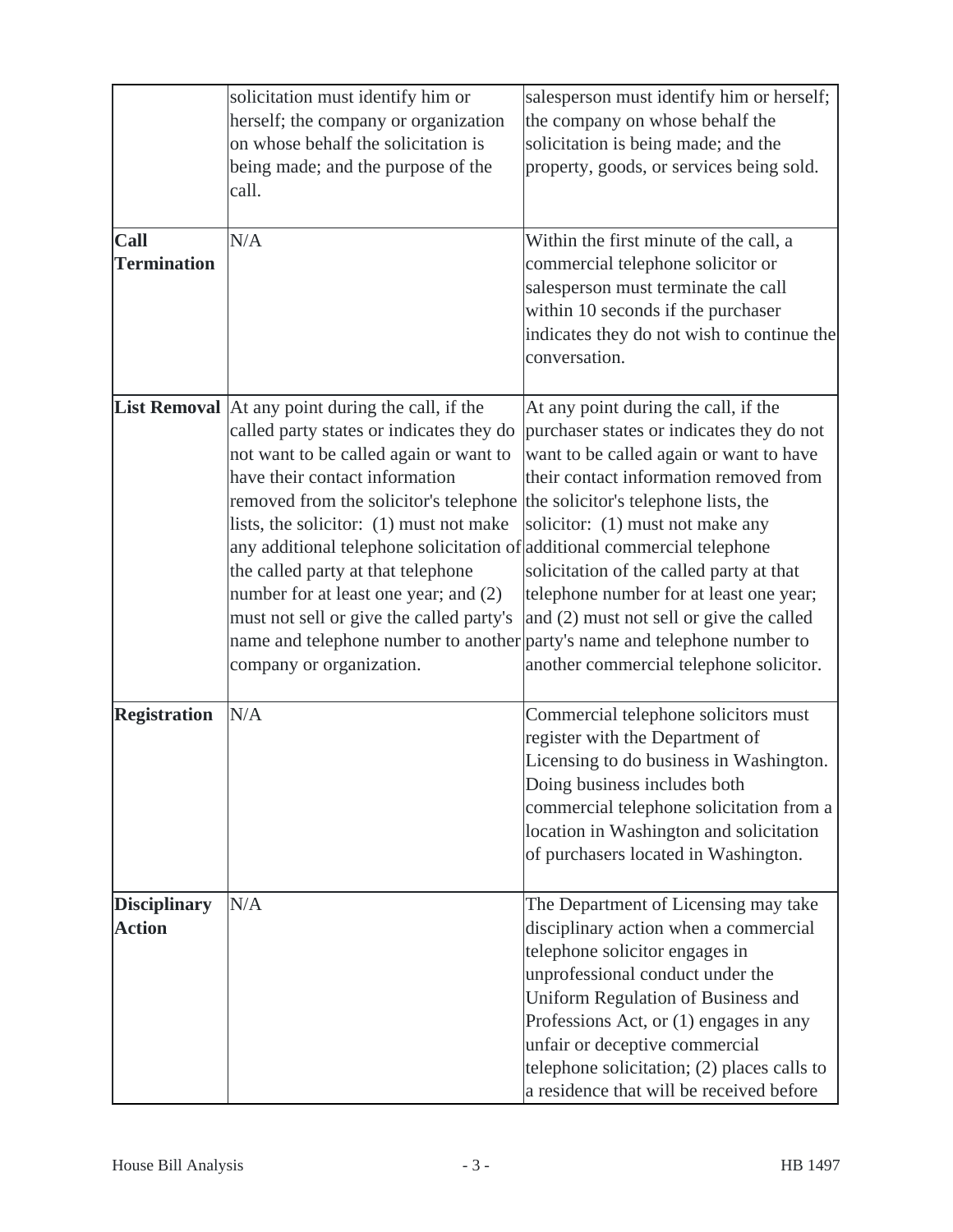|                                      | solicitation must identify him or<br>herself; the company or organization<br>on whose behalf the solicitation is<br>being made; and the purpose of the<br>call.                                                                                                                                                                                                                                                                                                                                                                                                                                                       | salesperson must identify him or herself;<br>the company on whose behalf the<br>solicitation is being made; and the<br>property, goods, or services being sold.                                                                                                                                                                                                                          |
|--------------------------------------|-----------------------------------------------------------------------------------------------------------------------------------------------------------------------------------------------------------------------------------------------------------------------------------------------------------------------------------------------------------------------------------------------------------------------------------------------------------------------------------------------------------------------------------------------------------------------------------------------------------------------|------------------------------------------------------------------------------------------------------------------------------------------------------------------------------------------------------------------------------------------------------------------------------------------------------------------------------------------------------------------------------------------|
| <b>Call</b><br><b>Termination</b>    | N/A                                                                                                                                                                                                                                                                                                                                                                                                                                                                                                                                                                                                                   | Within the first minute of the call, a<br>commercial telephone solicitor or<br>salesperson must terminate the call<br>within 10 seconds if the purchaser<br>indicates they do not wish to continue the<br>conversation.                                                                                                                                                                  |
|                                      | List Removal   At any point during the call, if the<br>called party states or indicates they do<br>not want to be called again or want to<br>have their contact information<br>removed from the solicitor's telephone the solicitor's telephone lists, the<br>lists, the solicitor: (1) must not make<br>any additional telephone solicitation of additional commercial telephone<br>the called party at that telephone<br>number for at least one year; and (2)<br>must not sell or give the called party's<br>name and telephone number to another party's name and telephone number to<br>company or organization. | At any point during the call, if the<br>purchaser states or indicates they do not<br>want to be called again or want to have<br>their contact information removed from<br>solicitor: (1) must not make any<br>solicitation of the called party at that<br>telephone number for at least one year;<br>and (2) must not sell or give the called<br>another commercial telephone solicitor. |
| <b>Registration</b>                  | N/A                                                                                                                                                                                                                                                                                                                                                                                                                                                                                                                                                                                                                   | Commercial telephone solicitors must<br>register with the Department of<br>Licensing to do business in Washington.<br>Doing business includes both<br>commercial telephone solicitation from a<br>location in Washington and solicitation<br>of purchasers located in Washington.                                                                                                        |
| <b>Disciplinary</b><br><b>Action</b> | N/A                                                                                                                                                                                                                                                                                                                                                                                                                                                                                                                                                                                                                   | The Department of Licensing may take<br>disciplinary action when a commercial<br>telephone solicitor engages in<br>unprofessional conduct under the<br>Uniform Regulation of Business and<br>Professions Act, or (1) engages in any<br>unfair or deceptive commercial<br>telephone solicitation; (2) places calls to<br>a residence that will be received before                         |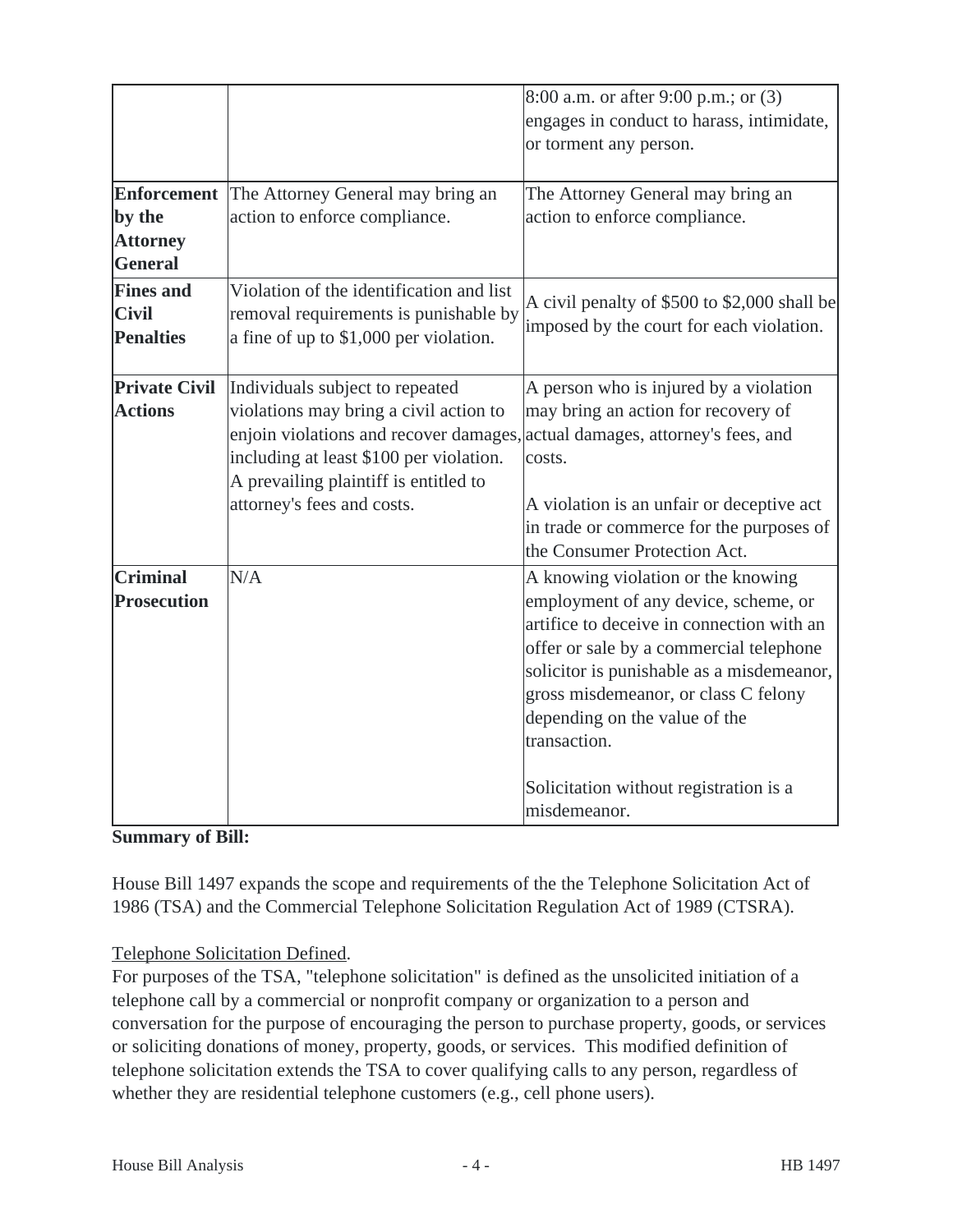|                                                                   |                                                                                                                                                                                                                                       | 8:00 a.m. or after 9:00 p.m.; or (3)<br>engages in conduct to harass, intimidate,<br>or torment any person.                                                                                                                                                                                                                                                        |
|-------------------------------------------------------------------|---------------------------------------------------------------------------------------------------------------------------------------------------------------------------------------------------------------------------------------|--------------------------------------------------------------------------------------------------------------------------------------------------------------------------------------------------------------------------------------------------------------------------------------------------------------------------------------------------------------------|
| <b>Enforcement</b><br>by the<br><b>Attorney</b><br><b>General</b> | The Attorney General may bring an<br>action to enforce compliance.                                                                                                                                                                    | The Attorney General may bring an<br>action to enforce compliance.                                                                                                                                                                                                                                                                                                 |
| <b>Fines and</b><br><b>Civil</b><br><b>Penalties</b>              | Violation of the identification and list<br>removal requirements is punishable by<br>a fine of up to \$1,000 per violation.                                                                                                           | A civil penalty of \$500 to \$2,000 shall be<br>imposed by the court for each violation.                                                                                                                                                                                                                                                                           |
| <b>Private Civil</b><br><b>Actions</b>                            | Individuals subject to repeated<br>violations may bring a civil action to<br>enjoin violations and recover damages,<br>including at least \$100 per violation.<br>A prevailing plaintiff is entitled to<br>attorney's fees and costs. | A person who is injured by a violation<br>may bring an action for recovery of<br>actual damages, attorney's fees, and<br>costs.<br>A violation is an unfair or deceptive act<br>in trade or commerce for the purposes of<br>the Consumer Protection Act.                                                                                                           |
| <b>Criminal</b><br><b>Prosecution</b>                             | N/A                                                                                                                                                                                                                                   | A knowing violation or the knowing<br>employment of any device, scheme, or<br>artifice to deceive in connection with an<br>offer or sale by a commercial telephone<br>solicitor is punishable as a misdemeanor,<br>gross misdemeanor, or class C felony<br>depending on the value of the<br>transaction.<br>Solicitation without registration is a<br>misdemeanor. |

**Summary of Bill:**

House Bill 1497 expands the scope and requirements of the the Telephone Solicitation Act of 1986 (TSA) and the Commercial Telephone Solicitation Regulation Act of 1989 (CTSRA).

#### Telephone Solicitation Defined.

For purposes of the TSA, "telephone solicitation" is defined as the unsolicited initiation of a telephone call by a commercial or nonprofit company or organization to a person and conversation for the purpose of encouraging the person to purchase property, goods, or services or soliciting donations of money, property, goods, or services. This modified definition of telephone solicitation extends the TSA to cover qualifying calls to any person, regardless of whether they are residential telephone customers (e.g., cell phone users).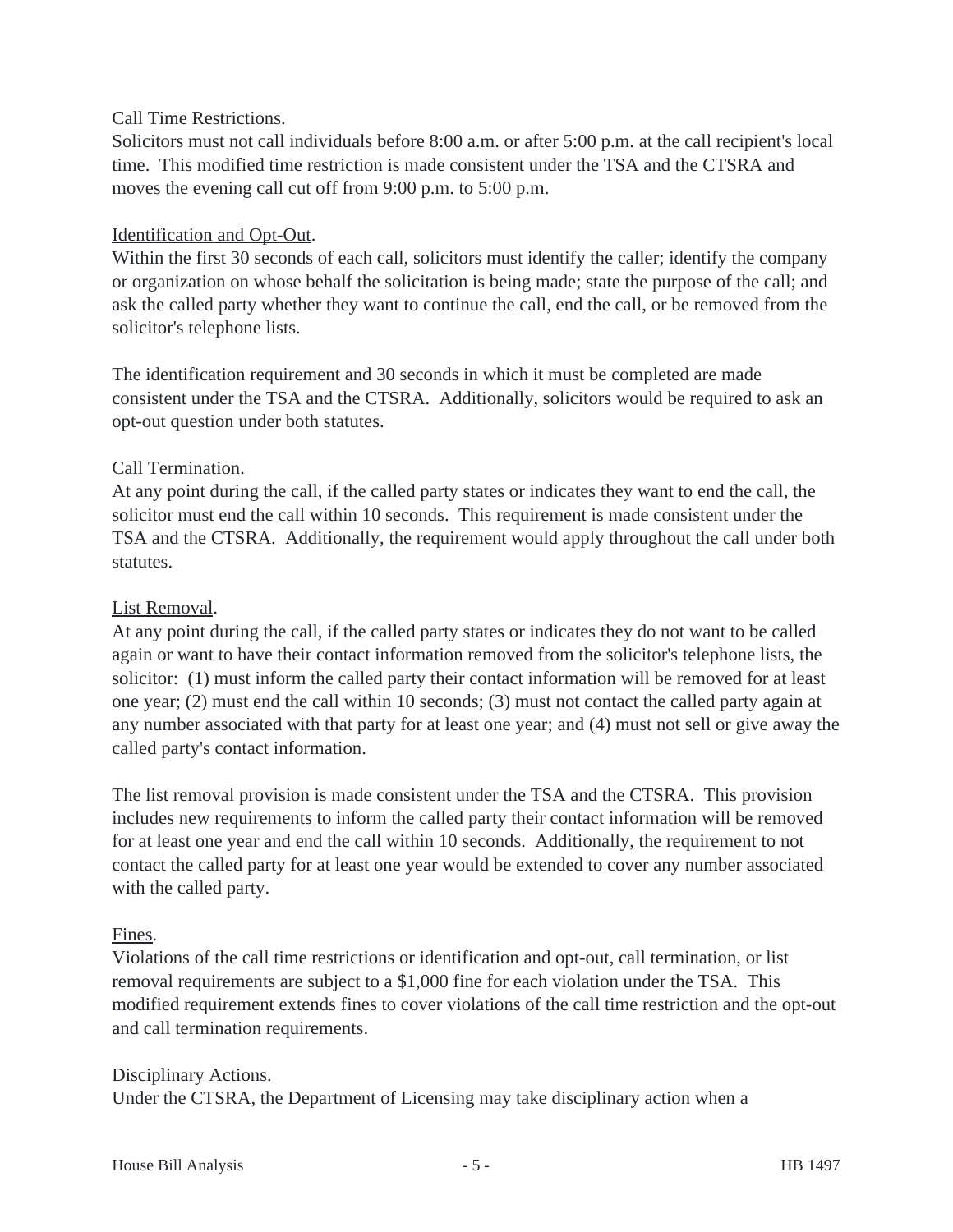#### Call Time Restrictions.

Solicitors must not call individuals before 8:00 a.m. or after 5:00 p.m. at the call recipient's local time. This modified time restriction is made consistent under the TSA and the CTSRA and moves the evening call cut off from 9:00 p.m. to 5:00 p.m.

#### Identification and Opt-Out.

Within the first 30 seconds of each call, solicitors must identify the caller; identify the company or organization on whose behalf the solicitation is being made; state the purpose of the call; and ask the called party whether they want to continue the call, end the call, or be removed from the solicitor's telephone lists.

The identification requirement and 30 seconds in which it must be completed are made consistent under the TSA and the CTSRA. Additionally, solicitors would be required to ask an opt-out question under both statutes.

### Call Termination.

At any point during the call, if the called party states or indicates they want to end the call, the solicitor must end the call within 10 seconds. This requirement is made consistent under the TSA and the CTSRA. Additionally, the requirement would apply throughout the call under both statutes.

## List Removal.

At any point during the call, if the called party states or indicates they do not want to be called again or want to have their contact information removed from the solicitor's telephone lists, the solicitor: (1) must inform the called party their contact information will be removed for at least one year; (2) must end the call within 10 seconds; (3) must not contact the called party again at any number associated with that party for at least one year; and (4) must not sell or give away the called party's contact information.

The list removal provision is made consistent under the TSA and the CTSRA. This provision includes new requirements to inform the called party their contact information will be removed for at least one year and end the call within 10 seconds. Additionally, the requirement to not contact the called party for at least one year would be extended to cover any number associated with the called party.

#### Fines.

Violations of the call time restrictions or identification and opt-out, call termination, or list removal requirements are subject to a \$1,000 fine for each violation under the TSA. This modified requirement extends fines to cover violations of the call time restriction and the opt-out and call termination requirements.

#### Disciplinary Actions.

Under the CTSRA, the Department of Licensing may take disciplinary action when a